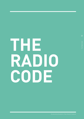# **THE RADIO CODE**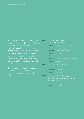The following standards apply to all radio programmes broadcast in New Zealand. Freedom of expression is the starting point in a consideration of complaints. Complaints can only be upheld where the limitation on the right to freedom of expression is reasonable, prescribed by law and demonstrably justified in a free and democratic society.

The standards in this code should be read and interpreted alongside the commentary at the front of the Codebook.

#### **PART 1** Standards which relate to social responsibilities

| <b>Standard 1</b> | <b>Good Taste and Decency</b>         |
|-------------------|---------------------------------------|
| <b>Standard 2</b> | Programme Information                 |
| <b>Standard 3</b> | Children's Interests                  |
| <b>Standard 4</b> | Violence                              |
| <b>Standard 5</b> | Law and Order                         |
| <b>Standard 6</b> | <b>Discrimination and Denigration</b> |
| <b>Standard 7</b> | Alcohol                               |

- **PART 2 Standards which relate to** information broadcast
	- **Standard 8** Balance **Standard 9** Accuracy
- **PART 3** Standards which relate to people or organisations taking part or referred to in broadcasts
	- **Standard 10 Privacy**
	- **Standard 11** Fairness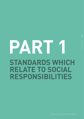# **PART 1 STANDARDS WHICH RELATE TO SOCIAL RESPONSIBILITIES**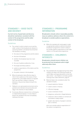# STANDARD 1 – GOOD TASTE AND DECENCY

Current norms of good taste and decency should be maintained, consistent with the context of the programme and the wider context of the broadcast.

#### Guidelines

- 1a The context in which content occurs and the wider context of the broadcast are relevant to assessing whether a broadcast has breached this standard, including:
	- the nature of the programme and the station
	- the time of broadcast
	- whether the broadcast was live or prerecorded
	- the use of audience advisories, if any
	- the target and likely audience
	- audience expectations of the station and the programme
	- the public interest in the broadcast.
- 1b Where broadcasters take effective steps to inform their audiences of the nature of their programmes, and enable listeners to regulate their own and their children's listening behaviour, they are less likely to breach this standard.
- 1c Talkback is an opinionated environment and is granted some latitude to be provocative and edgy in the interests of robust debate.
- 1d If seriously offensive material from a third party is inadvertently broadcast, it is less likely to breach the standard if the host immediately redresses the issue.

# STANDARD 2 – PROGRAMME **INFORMATION**

Broadcasters should, where reasonably possible, issue an audience advisory where the content of a broadcast is outside audience expectations.

#### Guideline

2a While this standard will rarely apply to radio, an appropriate audience advisory should be broadcast if programme content is likely to be outside audience expectations of the radio station or of the particular programme.

# STANDARD 3 – CHILDREN'S INTERESTS

Broadcasters should ensure children can be protected from broadcasts which might adversely affect them.

#### Guidelines

- 3a This standard will only apply during times when children are likely to be listening (usually up until 8.30pm and especially before school and after school – see *Children's normally accepted listening times* under Definitions, page 9).
- 3b Material likely to be considered under this standard includes:
	- sexual material or themes
	- violent content or themes
	- offensive language
	- social or domestic friction
	- dangerous, antisocial or illegal behaviour
	- material in which children or animals are humiliated or badly treated
	- graphic descriptions of people in extreme pain or distress

which are outside audience expectations of the station or programme.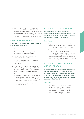26

3c Context is an important consideration when assessing complaints under this standard, including the public interest in the broadcast, the target and likely audience, audience expectations and any factors that mitigate the likely harm to children, such as humour or educational benefit.

# STANDARD 4 – VIOLENCE

#### Broadcasters should exercise care and discretion when referencing violence.

#### Guidelines

- 4a This standard will rarely apply to radio (as violent material has more impact visually).
- 4b Any description of, or reference to, violence should be justified by context.
- 4c Broadcasters should exercise caution with content likely to incite or encourage violence or brutality.
- 4d In news, current affairs and factual programmes, where disturbing or alarming material is often reported to reflect a world in which violence occurs, the material should be justified in the public interest.
	- Judgement and discretion must be used in deciding the degree of graphic detail to be included in news programmes, particularly when children are likely to be listening.
	- An audience advisory should be used when appropriate.

# STANDARD 5 – LAW AND ORDER

Broadcasters should observe standards consistent with the maintenance of law and order, taking into account the context of the programme and the wider context of the broadcast.

#### Guidelines

- 5a Programmes should not actively promote serious antisocial or illegal behaviour, including violence, suicide, serious crime and substance abuse.
- 5b The context of the programme and the wider context of the broadcast are important considerations when assessing complaints under this standard. For example, a distinction will usually be drawn between factual, and fictional or dramatic depictions, and the level of public interest in a programme will also be a significant factor.

## STANDARD 6 – DISCRIMINATION AND DENIGRATION

Broadcasters should not encourage discrimination against, or denigration of, any section of the community on account of sex, sexual orientation, race, age, disability, occupational status or as a consequence of legitimate expression of religion, culture or political belief.

#### Guidelines

6a 'Discrimination' is defined as encouraging the different treatment of the members of a particular section of the community, to their detriment. 'Denigration' is defined as devaluing the reputation of a particular section of the community.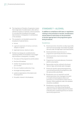- 6b The importance of freedom of expression means that a high level of condemnation, often with an element of malice or nastiness, will be necessary to conclude that a broadcast encouraged discrimination or denigration in contravention of the standard.
- 6c This standard is not intended to prevent the broadcast of material that is:
	- factual
	- a genuine expression of serious comment, analysis or opinion
	- legitimate humour, drama or satire.
- 6d Context must always be considered when assessing whether the broadcast 'encouraged' discrimination or denigration, including:
	- the nature of the programme and the station
	- the time of broadcast
	- whether the broadcast was live or pre-recorded
	- the use of audience advisories, if any
	- the target and likely audience
	- audience expectations of the station and the programme
	- the public interest in the broadcast.

## STANDARD 7 – ALCOHOL

In addition to compliance with laws or regulations relating to the promotion of alcohol, broadcasters should observe restrictions on the promotion of alcohol appropriate to the programme genre being broadcast.

#### Guidelines

- 7a Alcohol promotion should be socially responsible and must not encourage consumption by people who are under the legal age to purchase alcohol.
- 7b Alcohol promotion must not occur in programmes specifically directed at children.
- 7c Alcohol promotion must not dominate a broadcast.
- 7d Programmes must avoid advocacy of excessive alcohol consumption.
- 7e Sponsorship must be confined to the brand, name or logo, and exclude sales messages.
- 7f Promos for alcohol-sponsored programmes must primarily promote the programme, with the sponsorship subordinate.
- 7g Broadcasters are not required to exclude alcohol promotion from coverage of an event or situation being broadcast where such promotion is a normal feature of that event or situation. Other guidelines under this standard should be considered.
- 7h Broadcasters must take into account the requirements of the Advertising Standards Authority's Code for Advertising and Promotion of Alcohol when scheduling promos for alcoholsponsored programmes.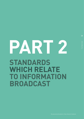# **PART 2 STANDARDS WHICH RELATE TO INFORMATION BROADCAST**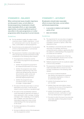## STANDARD 8 – BALANCE

When controversial issues of public importance are discussed in news, current affairs or factual programmes, broadcasters should make reasonable efforts, or give reasonable opportunities, to present significant points of view either in the same programme or in other programmes within the period of current interest.

#### Guidelines

- 8a For the standard to apply, the subject matter must be an issue 'of public importance', it must be 'controversial' and it must be 'discussed' in a news, current affairs or factual programme.
- 8b No set formula can be advanced for the allocation of time to interested parties on controversial issues of public importance.
- 8c The assessment of whether a reasonable range of other perspectives has been presented includes consideration of the following, where relevant:
	- the programme's introduction and the way in which the programme was presented, for example:
		- o whether the programme purported to be a balanced examination of an issue
		- o whether the programme was clearly signalled as approaching a topic from a particular perspective (eg, authorial documentaries, public access and advocacy programmes, partial or politically aligned programmes)
		- o whether the programme was narrowly focused on one aspect of a larger, complex debate
	- the nature of the discussion (was it a serious examination of an issue, or was the issue raised in a brief, humorous or peripheral way)
	- the nature of the issue/whether listeners could reasonably be expected to be aware of views expressed in other coverage, including coverage in other media (eg, is it an ongoing topic of debate, such that listeners can reasonably be expected to have a broad understanding of the main perspectives on the issue)
	- the likely expectations of the audience as to content
	- the level of editorial control of the broadcaster over the programme content.

## STANDARD 9 – ACCURACY

Broadcasters should make reasonable efforts to ensure that news, current affairs and factual programming:

- is accurate in relation to all material points of fact
- does not mislead.

#### Guidelines

- 9a The requirement for accuracy does not apply to statements which are clearly distinguishable as analysis, comment or opinion, rather than statements of fact.
- 9b The standard is concerned only with material inaccuracy. For example, technical or unimportant points unlikely to significantly affect the audience's understanding of the programme as a whole are not material.
- 9c In the event that a material error of fact has occurred, broadcasters should correct it at the earliest appropriate opportunity.
- 9d Talkback programmes will not usually be subject to the accuracy standard.
- 9e The assessment of whether the broadcaster has made reasonable efforts to ensure accuracy includes consideration of the following, where relevant:
	- the source of material broadcast (eg, whether the programme is produced by a reputable organisation or relies on an authoritative expert)
	- whether the broadcast was live or pre-recorded
	- whether there was some obvious reason to question the accuracy of the programme content before it was broadcast
	- whether the broadcaster sought and/or presented comment, clarification or input from any relevant person or organisation
	- the extent to which the issue of accuracy was reasonably capable of being determined by the broadcaster.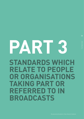# **PART 3 STANDARDS WHICH RELATE TO PEOPLE OR ORGANISATIONS TAKING PART OR REFERRED TO IN BROADCASTS**